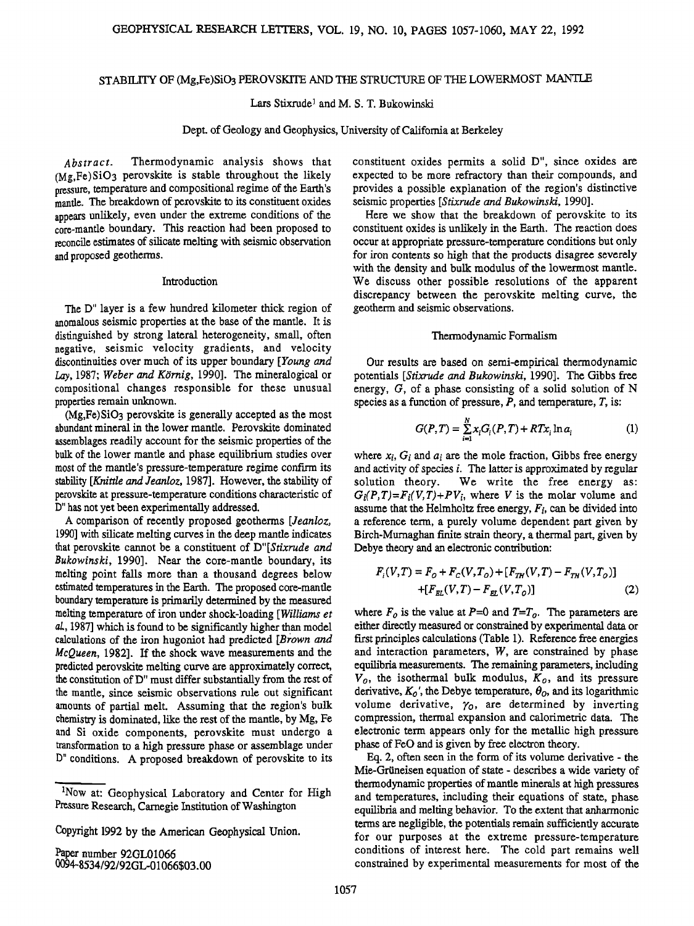# **STABILITY OF (Mg,Fe)SiO3 PEROVSKITE AND TIlE STRUCTURE OF THE LOWERMOST MANTLE**

Lars Stixrude<sup>1</sup> and M. S. T. Bukowinski

**Dept. of Geology and Geophysics, University of Califomia at Berkeley** 

**Abstract. Thermodynamic analysis shows that (Mg,Fe)SiO3 perovskite is stable throughout the likely pressure, temperature and compositional regime of the Earth's manfie. The breakdown of perovskite to its constituent oxides**  appears unlikely, even under the extreme conditions of the **core-mantle boundary. This reaction had been proposed to reconcile estimates of silicate melting with seismic observation and proposed geotherrns.** 

## **Introduction**

**The D" layer is a few hundred kilometer thick region of anomalous seismic properties at the base of the mantle. It is distinguished by strong lateral heterogeneity, small, often negative, seismic velocity gradients, and velocity discontinuities over much of its upper boundary [Young and**  Lay, 1987; Weber and Körnig, 1990]. The mineralogical or **compositional changes responsible for these unusual properties remain unknown.** 

**(Mg,Fe)SiO3 perovskite is generally accepted as the most abundant mineral in the lower mantle. Perovskite dominated assemblages readily account for the seismic properties of the bulk of the lower mantle and phase equilibrium studies over most of the manfie's pressure-temperature regime confirm its stability [Knittle and Jeanloz, 1987]. However, the stability of**  perovskite at pressure-temperature conditions characteristic of **D" has not yet been experimentally addressed.** 

**A comparison of recently proposed geotherms [Jeanloz, 1990] with silicate melting curves in the deep mantle indicates that perovskite cannot be a constituent of D"[\$tixrude and Bukowinski, 1990]. Near the core-mantle boundary, its melting point falls more than a thousand degrees below estimated temperatures in the Earth. The proposed core-mantle boundary temperature isprimarily determined by the measured melting temperature of iron under shock-loading [Williams et al., 1987] which is found to be significantly higher than model**  calculations of the iron hugoniot had predicted [Brown and **blcQueen, 1982]. If the shock wave measurements and the predicted perovskite melting curve are approximately correct, the constitution ofD" must differ substantially from the rest of the manfie, since seismic observations rule out significant amounts of partial melt. Assuming that the region's bulk chemistry is dominated, like the rest of the mantle, by Mg, Fe and Si oxide components, perovskite must undergo a transformation to a high pressure phase or assemblage under D" conditions. A proposed breakdown of perovskite to its** 

**Paper number 92GL01066 0094-8534/92/92GL-01066503.00**  **constituent oxides permits a solid D", since oxides are expected to be more refractory than their compounds, and provides a possible explanation of the region's distinctive seismic properties [Stixrude and Bukowinski, 1990].** 

**Here we show that the breakdown of perovskite to its constituent oxides is unlikely in the Earth. The reaction does occur at appropriate pressure-temperature conditions but only**  for iron contents so high that the products disagree severely **with the density and bulk modulus of the lowermost mantle. We discuss other possible resolutions of the apparent**  discrepancy between the perovskite melting curve, the **geotherm and seismic observations.** 

## **Thermodynamic Formalism**

**Our results are based on semi-empirical thermodynamic potentials [Stixrude and Bukowinski, 1990]. The Gibbs free energy, G, of a phase consisting of a solid solution of N species as a function of pressure, P, and temperature, T, is:** 

$$
G(P,T) = \sum_{i=1}^{N} x_i G_i(P,T) + RTx_i \ln a_i
$$
 (1)

where  $x_i$ ,  $G_i$  and  $a_i$  are the mole fraction, Gibbs free energy **and activity of species i.The latter is approximated by regular**  We write the free energy as:  $G_i(P,T)=F_i(V,T)+PV_i$ , where V is the molar volume and assume that the Helmholtz free energy,  $F_i$ , can be divided into **a reference term, a purely volume dependent part given by Birch-Murnaghan finite strain theory, a thermal part, given by Debye theory and an electronic contribution:** 

$$
F_i(V,T) = F_O + F_C(V,T_O) + [F_{TH}(V,T) - F_{TH}(V,T_O)]
$$
  
+ 
$$
[F_{EL}(V,T) - F_{EL}(V,T_O)]
$$
 (2)

where  $F<sub>o</sub>$  is the value at P=0 and T=T<sub>o</sub>. The parameters are **either directly measured or constrained by experimental data or first principles calculations (Table 1). Reference free energies and interaction parameters, W, are constrained by phase equilibria measurements. The remaining parameters, including**   $V<sub>o</sub>$ , the isothermal bulk modulus,  $K<sub>o</sub>$ , and its pressure derivative,  $K_0'$ , the Debye temperature,  $\theta_0$ , and its logarithmic volume derivative,  $\gamma_0$ , are determined by inverting **compression, thermal expansion and calorimetric data. The electronic term appears only for the metallic high pressure phase of FeO and is given by free electron theory.** 

**Eq. 2, often seen in the form of its volume derivative - the Mie-Grtineisen equation of state - describes a wide variety of thermodynamic properties of mantle minerals at high pressures and temperatures, including their equations of state, phase**  equilibria and melting behavior. To the extent that anharmonic **terms are negligible, the potentials remain sufficiently accurate for our purposes at the extreme pressure-temperature conditions of interest here. The cold part remains well constrained by experimental measurements for most of the** 

**<sup>1</sup>Now at: Geophysical Laboratory and Center for High Pressure Research, Carnegie Institution of Washington** 

**Copyright 1992 by the American Geophysical Union.**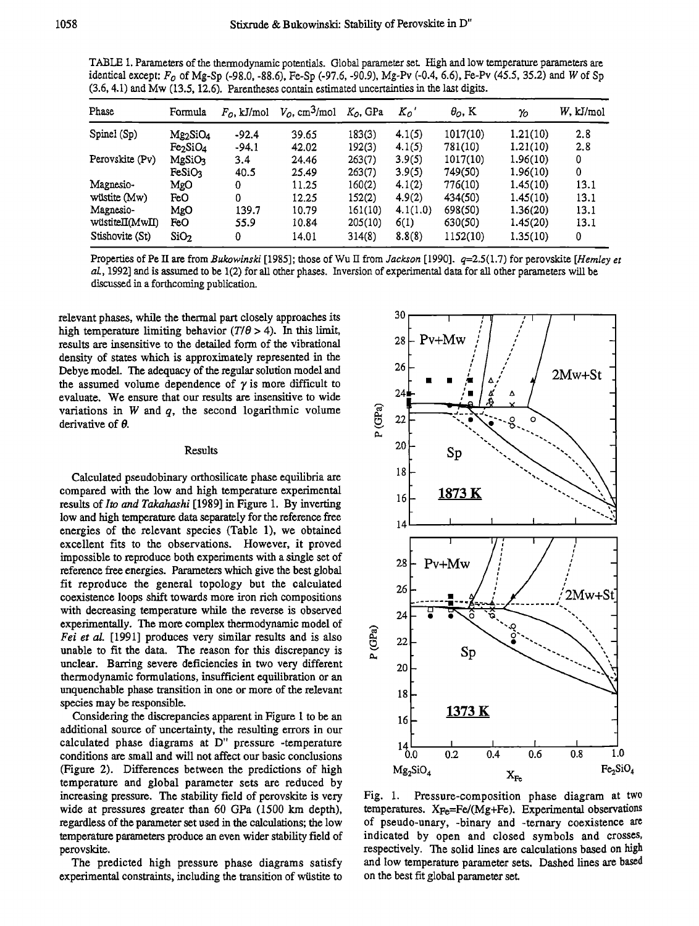**TABLE i. Parameters of the thermodynamic potentials. Global parameter set. High and low temperature parameters are identical except: Fo of Mg-Sp (-98.0, -88.6), Fe-Sp (-97.6, -90.9), Mg-Pv (-0.4, 6.6), Fe-Pv (45.5, 35.2) and W of Sp (3.6, 4.1) and Mw (13.5, 12.6). Parentheses contain estimated uncertainties inthe last digits.** 

| Phase           | Formula            | $F_{0}$ , kJ/mol | $Vo$ , cm <sup>3</sup> /mol | $KO$ , GPa | $K_o$    | $\theta$ <sub>O</sub> , K | $\gamma_{0}$ | W. kJ/mol |
|-----------------|--------------------|------------------|-----------------------------|------------|----------|---------------------------|--------------|-----------|
| Spinel (Sp)     | Mg2SiO4            | $-92.4$          | 39.65                       | 183(3)     | 4.1(5)   | 1017(10)                  | 1.21(10)     | 2.8       |
|                 | Fe2SiO4            | $-94.1$          | 42.02                       | 192(3)     | 4.1(5)   | 781(10)                   | 1.21(10)     | 2.8       |
| Perovskite (Pv) | MgSiO <sub>3</sub> | 3.4              | 24.46                       | 263(7)     | 3.9(5)   | 1017(10)                  | 1.96(10)     | 0         |
|                 | <b>FeSiO3</b>      | 40.5             | 25.49                       | 263(7)     | 3.9(5)   | 749(50)                   | 1.96(10)     | 0         |
| Magnesio-       | MgO                | 0                | 11.25                       | 160(2)     | 4.1(2)   | 776(10)                   | 1.45(10)     | 13.1      |
| wüstite (Mw)    | FeO                | 0                | 12.25                       | 152(2)     | 4.9(2)   | 434(50)                   | 1.45(10)     | 13.1      |
| Magnesio-       | MgO                | 139.7            | 10.79                       | 161(10)    | 4.1(1.0) | 698(50)                   | 1.36(20)     | 13.1      |
| wüstiteII(MwII) | FeO                | 55.9             | 10.84                       | 205(10)    | 6(1)     | 630(50)                   | 1.45(20)     | 13.1      |
| Stishovite (St) | SiO <sub>2</sub>   | 0                | 14.01                       | 314(8)     | 8,8(8)   | 1152(10)                  | 1.35(10)     | 0         |
|                 |                    |                  |                             |            |          |                           |              |           |

**Properties of Pc II are from Bukowinski [1985]; those of Wu II from Jackson [1990]. q=2.5(1.7) for perovskite [Hemley et al., 1992] and is assumed to be 1 (2) for ali other phases. Inversion of experimental data for all other parameters will be discussed ina forthcoming publication.** 

**relevant phases, while the thermal part closely approaches its**  high temperature limiting behavior  $(T/\theta > 4)$ . In this limit, **results are insensitive to the detailed form of the vibrational density of states which is approximately represented in the Debye model. The adequacy of the regular solution model and**  the assumed volume dependence of  $\gamma$  is more difficult to **evaluate. We ensure that our results are insensitive to wide variations in W and q, the second logarithmic volume**  derivative of  $\theta$ .

## **Results**

**Calculated pseudobinary orthosilicate phase equilibria are**  compared with the low and high temperature experimental **results of Ito and Takahashi [1989] in Figure 1. By inverting low and high temperature data separately for the reference free energies of the relevant species (Table 1), we obtained excellent fits to the observations. However, it proved impossible to reproduce both experiments with a single set of reference free energies. Parameters which give the best global fit reproduce the general topology but the calculated coexistence loops shift towards more iron rich compositions with decreasing temperature while the reverse is observed experimentally. The more complex thermodynamic model of Fei et al. [1991] produces very similar results and is also unable to fit the data. The reason for this discrepancy is unclear. Barring severe deficiencies in two very different thermodynamic formulations, insufficient equilibration or an unquenchable phase transition in one or more of the relevant species may be responsible.** 

**Considering the discrepancies apparent in Figure 1 to be an additional source of uncertainty, the resulting errors in our calculated phase diagrams at D" pressure -temperature conditions are small and will not affect our basic conclusions (Figure 2). Differences between the predictions of high temperature and global parameter sets are reduced by increasing pressure. The stability field of perovskite is very wide at pressures greater than 60 GPa (1500 km depth), regardless of the parameter set used in the calculations; the low temperature parameters produce an even wider stability field of perovskite.** 

**The predicted high pressure phase diagrams satisfy experimental constraints, including the transition of wiistite to** 



**Fig. 1. Pressure-composition phase diagram at two temperatures. XFe=Fe/(Mg+Fe). Experimental observations of pseudo-unary, -binary and -ternary coexistence are indicated by open and closed symbols and crosses, respectively. The solid lines are calculations based on high and low temperature parameter sets. Dashed lines are based on the best fit global parameter set.**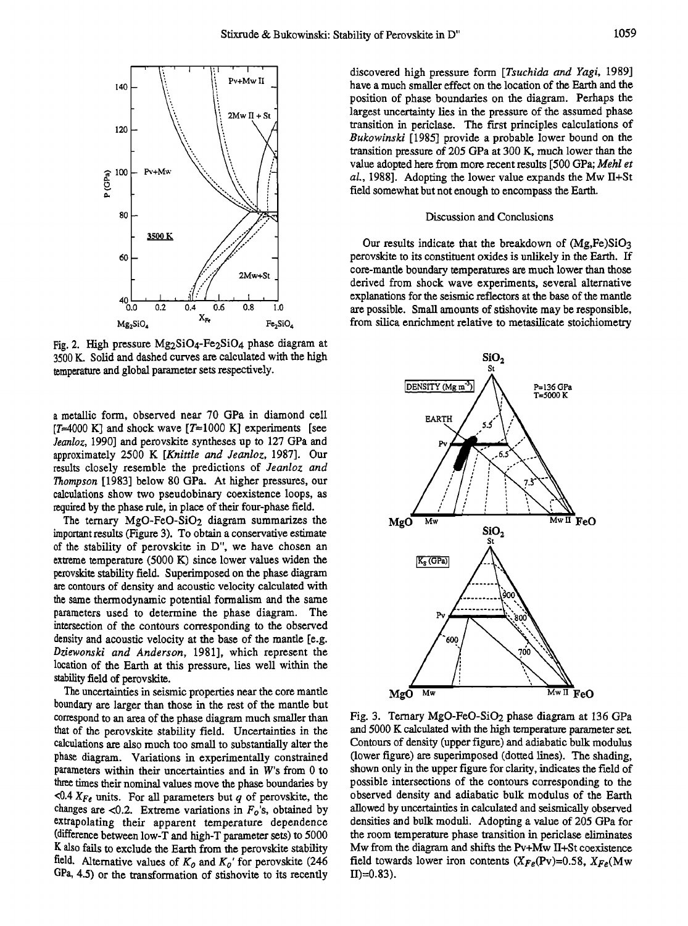

**Fig. 2. High pressure Mg2SiO4-Fe2SiO4 phase diagram at 3500 K. Solid and dashed curves are calculated with the high temperature and global parameter sets respectively.** 

**a metallic form, observed near 70 GPa in diamond cell**   $[T=4000 \text{ K}]$  and shock wave  $[T=1000 \text{ K}]$  experiments [see **Jeanloz, 1990] and perovskite syntheses up to 127 GPa and approximately 2500 K [Knittle and Jeanloz, !987]. Our results closely resemble the predictions of Jeanloz and Thompson [1983] below 80 GPa. At higher pressures, our calculations show two pseudobinary coexistence loops, as**  required by the phase rule, in place of their four-phase field.

**The ternary MgO-FeO-SiO2 diagram summarizes the**   $important results$  (Figure 3). To obtain a conservative estimate **of the stability of perovskite in D", we have chosen an extreme temperature (5000 K) since lower values widen the perovskite stability field. Superimposed on the phase diagram are contours of density and acoustic velocity calculated with the same thermodynamic potential formalism and the same parameters used to determine the phase diagram. The**  intersection of the contours corresponding to the observed **density and acoustic velocity at the base of the manfie [e.g.**  Dziewonski and Anderson, 1981], which represent the **location of the Earth at this pressure, lies well within the stability field of perovskite.** 

**The uncertainties in seismic properties near the core mantle boundary are larger than those in the rest of the mantle but correspond to an area of the phase diagram much smaller than**  that of the perovskite stability field. Uncertainties in the **calculations are also much too small to substantially alter the phase diagram. Variations in experimentally constrained parameters within their uncertainties and in W's from 0 to three times their nominal values move the phase boundaries by**   $\leq 0.4$   $X_{Fe}$  units. For all parameters but q of perovskite, the changes are  $\langle 0.2$ . Extreme variations in  $F<sub>o</sub>$ 's, obtained by **extrapolating their apparent temperature dependence (difference between low-T and high-T parameter sets) to 5000 K also fails to exclude the Earth from the perovskite stability**  field. Alternative values of  $K_0$  and  $K_0$ ' for perovskite (246) GPa, 4.5) or the transformation of stishovite to its recently

**discovered high pressure form [Tsuchida and Yagi, 1989] have a much smaller effect on the location of the Earth and the position of phase boundaries on the diagram. Perhaps the largest uncertainty lies in the pressure of the assumed phase transition in periclase. The first principles calculations of Bukowinski [1985] provide a probable lower bound on the transition pressure of 205 GPa at 300 K, much lower than the value adopted here from more recent results [500 GPa; Mehl et al., 1988]. Adopting the lower value expands the Mw II+St field somewhat but not enough to encompass the Earth.** 

## **Discussion and Conclusions**

**Our results indicate that the breakdown of (Mg,Fe)SiO3 perovsldte to its constituent oxides is unlikely in the Earth. If core-mantle boundary temperatures are much lower than those derived from shock wave experiments, several alternative explanations for the seismic reflectors at the base of the mantle are possible. Small amounts of stishovite may be responsible, from silica enrichment relative to metasilicate stoichiometry** 



**Fig. 3. Ternary MgO-FeO-SiO2 phase diagram at 136 GPa and 5000 K calculated with the high temperature parameter set. Contours of density (upper figure) and adiabatic bulk modulus (lower figure) are superimposed (dotted lines). The shading, shown only in the upper figure for clarity, indicates the field of possible intersections of the contours corresponding to the observed density and adiabatic bulk modulus of the Earth allowed by uncertainties incalculated and seismically observed densities and bulk moduli. Adopting a value of 205 GPa for the room temperature phase transition in periclase eliminates Mw from the diagram and shifts the Pv+Mw II+St coexistence**  field towards lower iron contents  $(X_{Fe}(\text{Pv})=0.58, X_{Fe}(\text{Mw} \text{II})=0.83)$ .